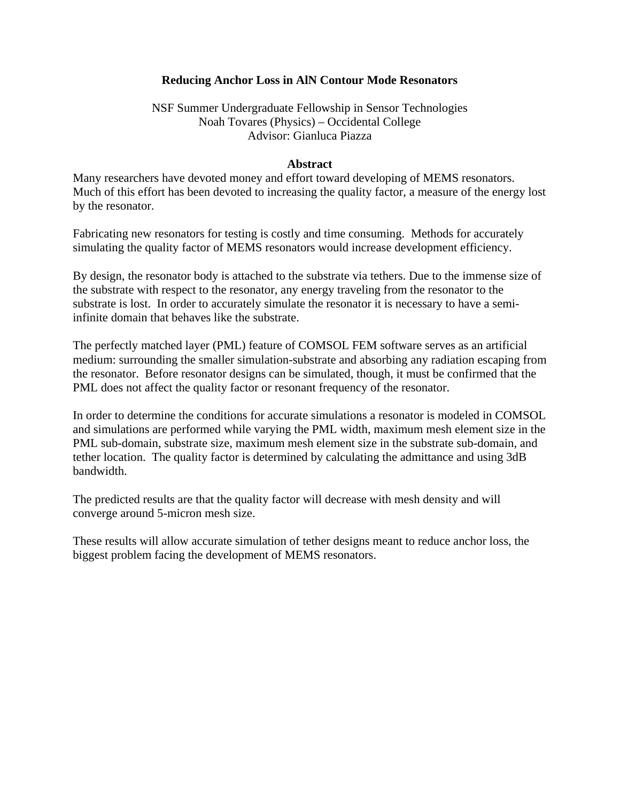### **Reducing Anchor Loss in AlN Contour Mode Resonators**

NSF Summer Undergraduate Fellowship in Sensor Technologies Noah Tovares (Physics) – Occidental College Advisor: Gianluca Piazza

#### **Abstract**

Many researchers have devoted money and effort toward developing of MEMS resonators. Much of this effort has been devoted to increasing the quality factor, a measure of the energy lost by the resonator.

Fabricating new resonators for testing is costly and time consuming. Methods for accurately simulating the quality factor of MEMS resonators would increase development efficiency.

By design, the resonator body is attached to the substrate via tethers. Due to the immense size of the substrate with respect to the resonator, any energy traveling from the resonator to the substrate is lost. In order to accurately simulate the resonator it is necessary to have a semiinfinite domain that behaves like the substrate.

The perfectly matched layer (PML) feature of COMSOL FEM software serves as an artificial medium: surrounding the smaller simulation-substrate and absorbing any radiation escaping from the resonator. Before resonator designs can be simulated, though, it must be confirmed that the PML does not affect the quality factor or resonant frequency of the resonator.

In order to determine the conditions for accurate simulations a resonator is modeled in COMSOL and simulations are performed while varying the PML width, maximum mesh element size in the PML sub-domain, substrate size, maximum mesh element size in the substrate sub-domain, and tether location. The quality factor is determined by calculating the admittance and using 3dB bandwidth.

The predicted results are that the quality factor will decrease with mesh density and will converge around 5-micron mesh size.

These results will allow accurate simulation of tether designs meant to reduce anchor loss, the biggest problem facing the development of MEMS resonators.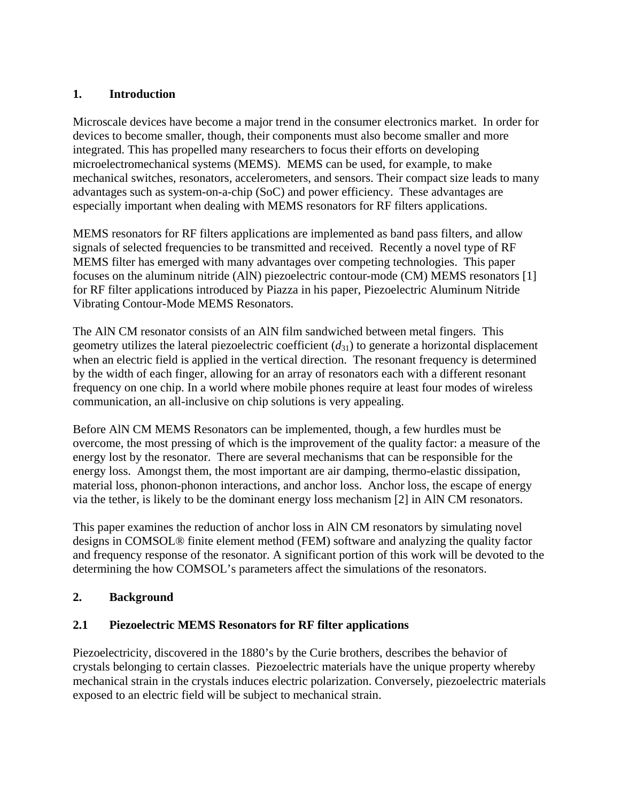## **1. Introduction**

Microscale devices have become a major trend in the consumer electronics market. In order for devices to become smaller, though, their components must also become smaller and more integrated. This has propelled many researchers to focus their efforts on developing microelectromechanical systems (MEMS). MEMS can be used, for example, to make mechanical switches, resonators, accelerometers, and sensors. Their compact size leads to many advantages such as system-on-a-chip (SoC) and power efficiency. These advantages are especially important when dealing with MEMS resonators for RF filters applications.

MEMS resonators for RF filters applications are implemented as band pass filters, and allow signals of selected frequencies to be transmitted and received. Recently a novel type of RF MEMS filter has emerged with many advantages over competing technologies. This paper focuses on the aluminum nitride (AlN) piezoelectric contour-mode (CM) MEMS resonators [1] for RF filter applications introduced by Piazza in his paper, Piezoelectric Aluminum Nitride Vibrating Contour-Mode MEMS Resonators.

The AlN CM resonator consists of an AlN film sandwiched between metal fingers. This geometry utilizes the lateral piezoelectric coefficient  $(d_{31})$  to generate a horizontal displacement when an electric field is applied in the vertical direction. The resonant frequency is determined by the width of each finger, allowing for an array of resonators each with a different resonant frequency on one chip. In a world where mobile phones require at least four modes of wireless communication, an all-inclusive on chip solutions is very appealing.

Before AlN CM MEMS Resonators can be implemented, though, a few hurdles must be overcome, the most pressing of which is the improvement of the quality factor: a measure of the energy lost by the resonator. There are several mechanisms that can be responsible for the energy loss. Amongst them, the most important are air damping, thermo-elastic dissipation, material loss, phonon-phonon interactions, and anchor loss. Anchor loss, the escape of energy via the tether, is likely to be the dominant energy loss mechanism [2] in AlN CM resonators.

This paper examines the reduction of anchor loss in AlN CM resonators by simulating novel designs in COMSOL® finite element method (FEM) software and analyzing the quality factor and frequency response of the resonator. A significant portion of this work will be devoted to the determining the how COMSOL's parameters affect the simulations of the resonators.

# **2. Background**

## **2.1 Piezoelectric MEMS Resonators for RF filter applications**

Piezoelectricity, discovered in the 1880's by the Curie brothers, describes the behavior of crystals belonging to certain classes. Piezoelectric materials have the unique property whereby mechanical strain in the crystals induces electric polarization. Conversely, piezoelectric materials exposed to an electric field will be subject to mechanical strain.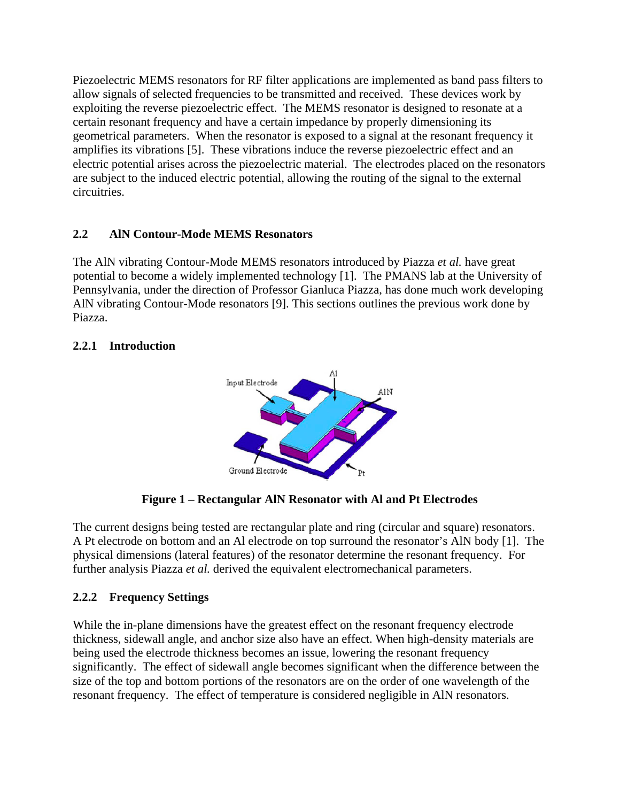Piezoelectric MEMS resonators for RF filter applications are implemented as band pass filters to allow signals of selected frequencies to be transmitted and received. These devices work by exploiting the reverse piezoelectric effect. The MEMS resonator is designed to resonate at a certain resonant frequency and have a certain impedance by properly dimensioning its geometrical parameters. When the resonator is exposed to a signal at the resonant frequency it amplifies its vibrations [5]. These vibrations induce the reverse piezoelectric effect and an electric potential arises across the piezoelectric material. The electrodes placed on the resonators are subject to the induced electric potential, allowing the routing of the signal to the external circuitries.

# **2.2 AlN Contour-Mode MEMS Resonators**

The AlN vibrating Contour-Mode MEMS resonators introduced by Piazza *et al.* have great potential to become a widely implemented technology [1]. The PMANS lab at the University of Pennsylvania, under the direction of Professor Gianluca Piazza, has done much work developing AlN vibrating Contour-Mode resonators [9]. This sections outlines the previous work done by Piazza.

# **2.2.1 Introduction**



**Figure 1 – Rectangular AlN Resonator with Al and Pt Electrodes** 

The current designs being tested are rectangular plate and ring (circular and square) resonators. A Pt electrode on bottom and an Al electrode on top surround the resonator's AlN body [1]. The physical dimensions (lateral features) of the resonator determine the resonant frequency. For further analysis Piazza *et al.* derived the equivalent electromechanical parameters.

# **2.2.2 Frequency Settings**

While the in-plane dimensions have the greatest effect on the resonant frequency electrode thickness, sidewall angle, and anchor size also have an effect. When high-density materials are being used the electrode thickness becomes an issue, lowering the resonant frequency significantly. The effect of sidewall angle becomes significant when the difference between the size of the top and bottom portions of the resonators are on the order of one wavelength of the resonant frequency. The effect of temperature is considered negligible in AlN resonators.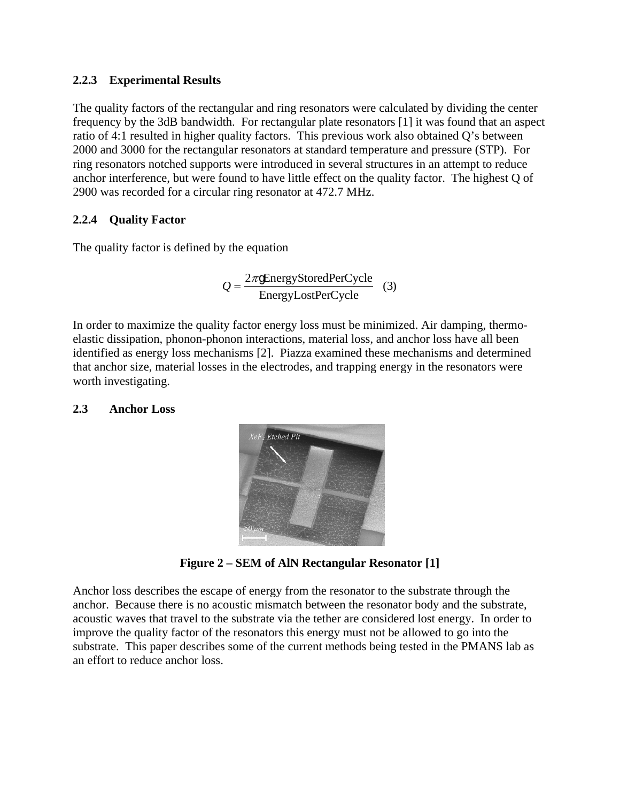### **2.2.3 Experimental Results**

The quality factors of the rectangular and ring resonators were calculated by dividing the center frequency by the 3dB bandwidth. For rectangular plate resonators [1] it was found that an aspect ratio of 4:1 resulted in higher quality factors. This previous work also obtained Q's between 2000 and 3000 for the rectangular resonators at standard temperature and pressure (STP). For ring resonators notched supports were introduced in several structures in an attempt to reduce anchor interference, but were found to have little effect on the quality factor. The highest Q of 2900 was recorded for a circular ring resonator at 472.7 MHz.

## **2.2.4 Quality Factor**

The quality factor is defined by the equation

$$
Q = \frac{2\pi g \text{EnergyStoredPerCycle}}{\text{EnergyLossPerCycle}} \quad (3)
$$

In order to maximize the quality factor energy loss must be minimized. Air damping, thermoelastic dissipation, phonon-phonon interactions, material loss, and anchor loss have all been identified as energy loss mechanisms [2]. Piazza examined these mechanisms and determined that anchor size, material losses in the electrodes, and trapping energy in the resonators were worth investigating.

## **2.3 Anchor Loss**



**Figure 2 – SEM of AlN Rectangular Resonator [1]** 

Anchor loss describes the escape of energy from the resonator to the substrate through the anchor. Because there is no acoustic mismatch between the resonator body and the substrate, acoustic waves that travel to the substrate via the tether are considered lost energy. In order to improve the quality factor of the resonators this energy must not be allowed to go into the substrate. This paper describes some of the current methods being tested in the PMANS lab as an effort to reduce anchor loss.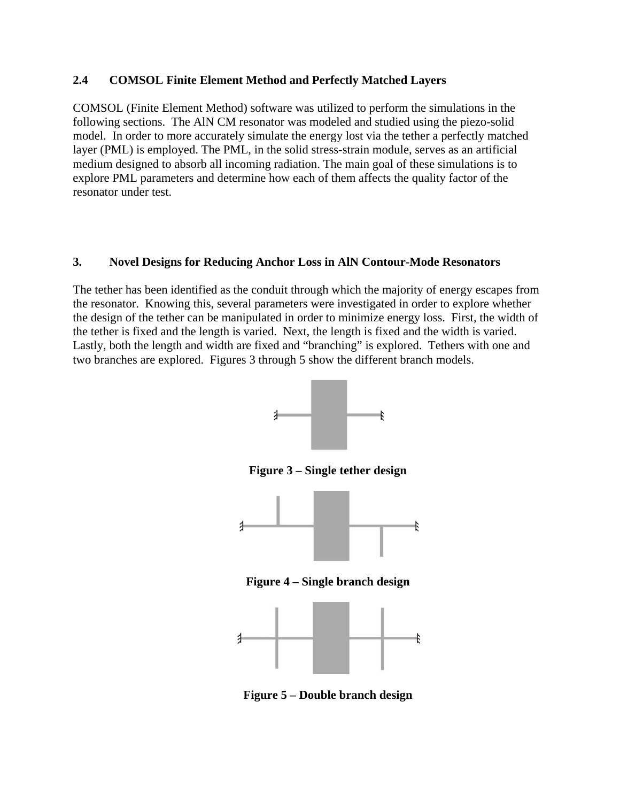### **2.4 COMSOL Finite Element Method and Perfectly Matched Layers**

COMSOL (Finite Element Method) software was utilized to perform the simulations in the following sections. The AlN CM resonator was modeled and studied using the piezo-solid model. In order to more accurately simulate the energy lost via the tether a perfectly matched layer (PML) is employed. The PML, in the solid stress-strain module, serves as an artificial medium designed to absorb all incoming radiation. The main goal of these simulations is to explore PML parameters and determine how each of them affects the quality factor of the resonator under test.

### **3. Novel Designs for Reducing Anchor Loss in AlN Contour-Mode Resonators**

The tether has been identified as the conduit through which the majority of energy escapes from the resonator. Knowing this, several parameters were investigated in order to explore whether the design of the tether can be manipulated in order to minimize energy loss. First, the width of the tether is fixed and the length is varied. Next, the length is fixed and the width is varied. Lastly, both the length and width are fixed and "branching" is explored. Tethers with one and two branches are explored. Figures 3 through 5 show the different branch models.



**Figure 3 – Single tether design** 



**Figure 4 – Single branch design** 



**Figure 5 – Double branch design**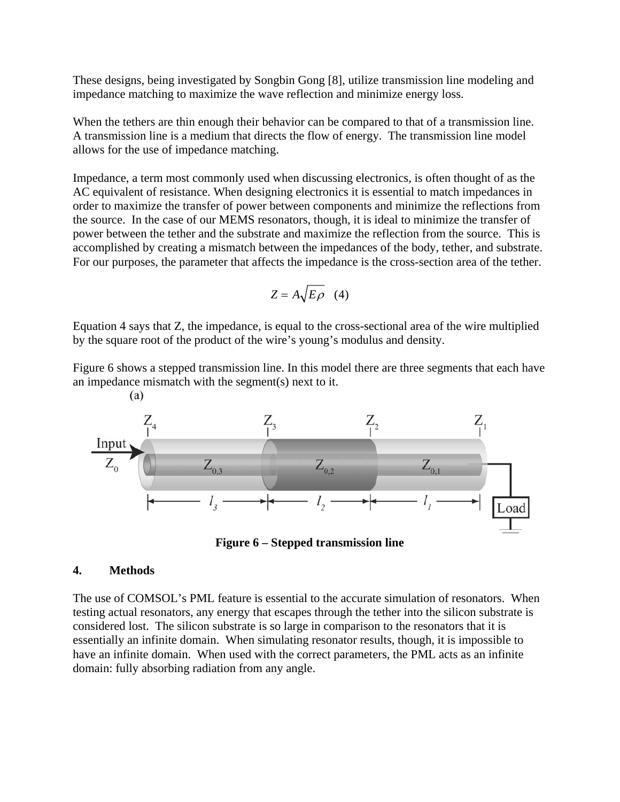These designs, being investigated by Songbin Gong [8], utilize transmission line modeling and impedance matching to maximize the wave reflection and minimize energy loss.

When the tethers are thin enough their behavior can be compared to that of a transmission line. A transmission line is a medium that directs the flow of energy. The transmission line model allows for the use of impedance matching.

Impedance, a term most commonly used when discussing electronics, is often thought of as the AC equivalent of resistance. When designing electronics it is essential to match impedances in order to maximize the transfer of power between components and minimize the reflections from the source. In the case of our MEMS resonators, though, it is ideal to minimize the transfer of power between the tether and the substrate and maximize the reflection from the source. This is accomplished by creating a mismatch between the impedances of the body, tether, and substrate. For our purposes, the parameter that affects the impedance is the cross-section area of the tether.

$$
Z=A\sqrt{E\rho}\quad (4)
$$

Equation 4 says that Z, the impedance, is equal to the cross-sectional area of the wire multiplied by the square root of the product of the wire's young's modulus and density.

Figure 6 shows a stepped transmission line. In this model there are three segments that each have an impedance mismatch with the segment(s) next to it.



**Figure 6 – Stepped transmission line** 

### **4. Methods**

The use of COMSOL's PML feature is essential to the accurate simulation of resonators. When testing actual resonators, any energy that escapes through the tether into the silicon substrate is considered lost. The silicon substrate is so large in comparison to the resonators that it is essentially an infinite domain. When simulating resonator results, though, it is impossible to have an infinite domain. When used with the correct parameters, the PML acts as an infinite domain: fully absorbing radiation from any angle.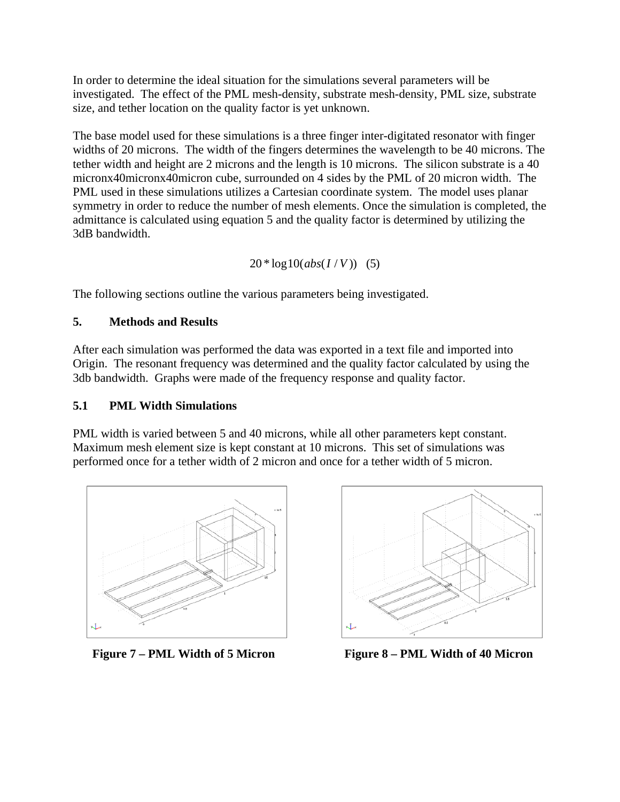In order to determine the ideal situation for the simulations several parameters will be investigated. The effect of the PML mesh-density, substrate mesh-density, PML size, substrate size, and tether location on the quality factor is yet unknown.

The base model used for these simulations is a three finger inter-digitated resonator with finger widths of 20 microns. The width of the fingers determines the wavelength to be 40 microns. The tether width and height are 2 microns and the length is 10 microns. The silicon substrate is a 40 micronx40micronx40micron cube, surrounded on 4 sides by the PML of 20 micron width. The PML used in these simulations utilizes a Cartesian coordinate system. The model uses planar symmetry in order to reduce the number of mesh elements. Once the simulation is completed, the admittance is calculated using equation 5 and the quality factor is determined by utilizing the 3dB bandwidth.

$$
20 * log 10 (abs(I/V)) (5)
$$

The following sections outline the various parameters being investigated.

# **5. Methods and Results**

After each simulation was performed the data was exported in a text file and imported into Origin. The resonant frequency was determined and the quality factor calculated by using the 3db bandwidth. Graphs were made of the frequency response and quality factor.

# **5.1 PML Width Simulations**

PML width is varied between 5 and 40 microns, while all other parameters kept constant. Maximum mesh element size is kept constant at 10 microns. This set of simulations was performed once for a tether width of 2 micron and once for a tether width of 5 micron.





 **Figure 7 – PML Width of 5 Micron Figure 8 – PML Width of 40 Micron**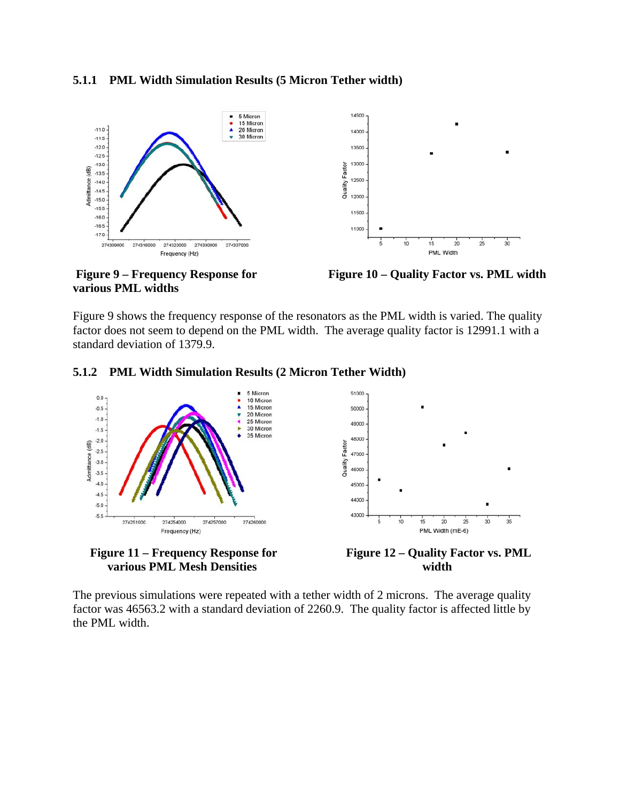#### **5.1.1 PML Width Simulation Results (5 Micron Tether width)**



 **Figure 9 – Frequency Response for various PML widths** 

**Figure 10 – Quality Factor vs. PML width** 

Figure 9 shows the frequency response of the resonators as the PML width is varied. The quality factor does not seem to depend on the PML width. The average quality factor is 12991.1 with a standard deviation of 1379.9.





The previous simulations were repeated with a tether width of 2 microns. The average quality factor was 46563.2 with a standard deviation of 2260.9. The quality factor is affected little by the PML width.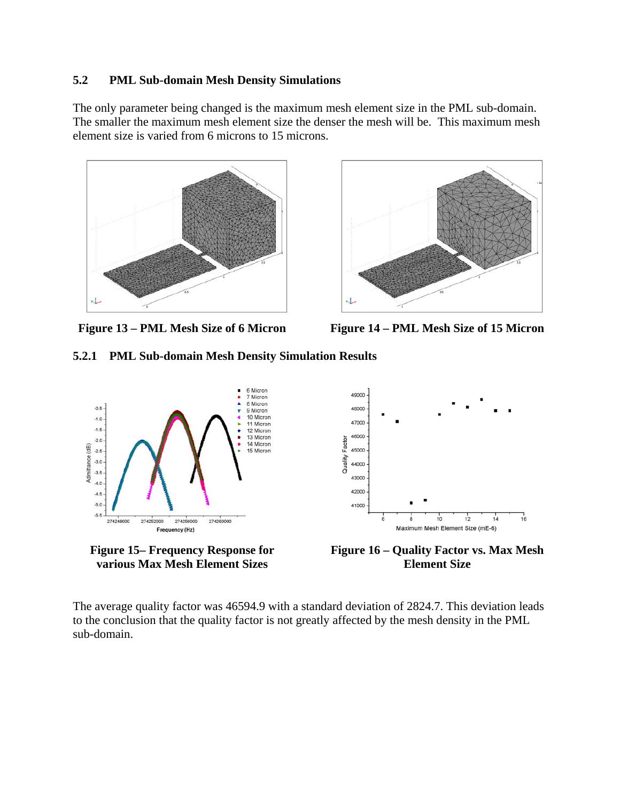## **5.2 PML Sub-domain Mesh Density Simulations**

The only parameter being changed is the maximum mesh element size in the PML sub-domain. The smaller the maximum mesh element size the denser the mesh will be. This maximum mesh element size is varied from 6 microns to 15 microns.





**Figure 13 – PML Mesh Size of 6 Micron Figure 14 – PML Mesh Size of 15 Micron** 





The average quality factor was 46594.9 with a standard deviation of 2824.7. This deviation leads to the conclusion that the quality factor is not greatly affected by the mesh density in the PML sub-domain.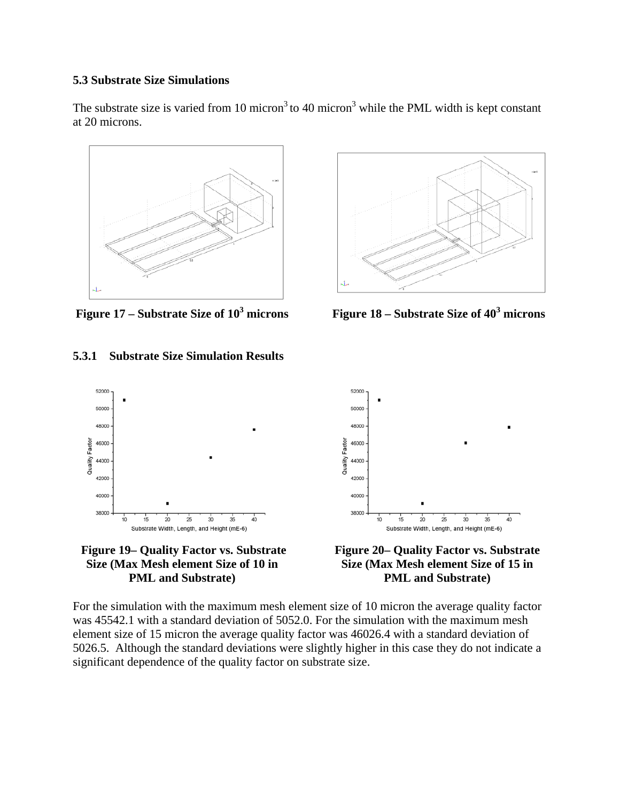### **5.3 Substrate Size Simulations**

The substrate size is varied from 10 micron<sup>3</sup> to 40 micron<sup>3</sup> while the PML width is kept constant at 20 microns.



Figure 17 – Substrate Size of  $10^3$  microns

**5.3.1 Substrate Size Simulation Results**



 **microns Figure 18 – Substrate Size of 40<sup>3</sup> microns**



For the simulation with the maximum mesh element size of 10 micron the average quality factor was 45542.1 with a standard deviation of 5052.0. For the simulation with the maximum mesh element size of 15 micron the average quality factor was 46026.4 with a standard deviation of 5026.5. Although the standard deviations were slightly higher in this case they do not indicate a significant dependence of the quality factor on substrate size.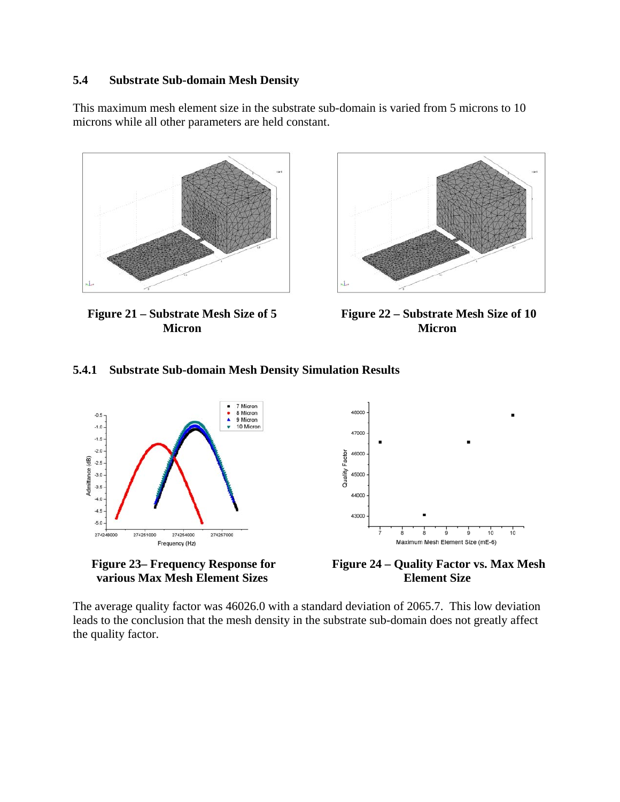### **5.4 Substrate Sub-domain Mesh Density**

This maximum mesh element size in the substrate sub-domain is varied from 5 microns to 10 microns while all other parameters are held constant.



**Figure 21 – Substrate Mesh Size of 5 Micron**



 **Figure 22 – Substrate Mesh Size of 10 Micron**

### **5.4.1 Substrate Sub-domain Mesh Density Simulation Results**







The average quality factor was 46026.0 with a standard deviation of 2065.7. This low deviation leads to the conclusion that the mesh density in the substrate sub-domain does not greatly affect the quality factor.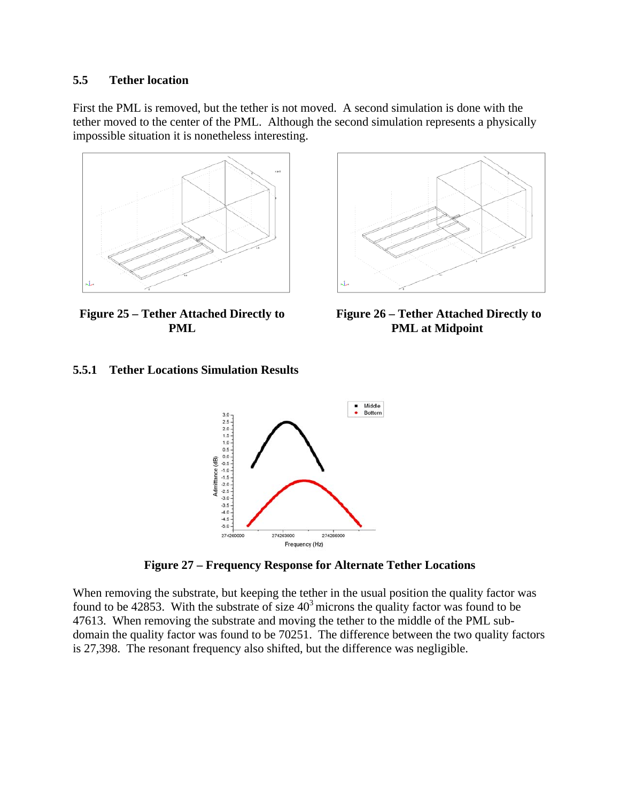### **5.5 Tether location**

First the PML is removed, but the tether is not moved. A second simulation is done with the tether moved to the center of the PML. Although the second simulation represents a physically impossible situation it is nonetheless interesting.



**Figure 25 – Tether Attached Directly to PML**



 **Figure 26 – Tether Attached Directly to PML at Midpoint**

### **5.5.1 Tether Locations Simulation Results**



**Figure 27 – Frequency Response for Alternate Tether Locations** 

When removing the substrate, but keeping the tether in the usual position the quality factor was found to be 42853. With the substrate of size  $40<sup>3</sup>$  microns the quality factor was found to be 47613. When removing the substrate and moving the tether to the middle of the PML subdomain the quality factor was found to be 70251. The difference between the two quality factors is 27,398. The resonant frequency also shifted, but the difference was negligible.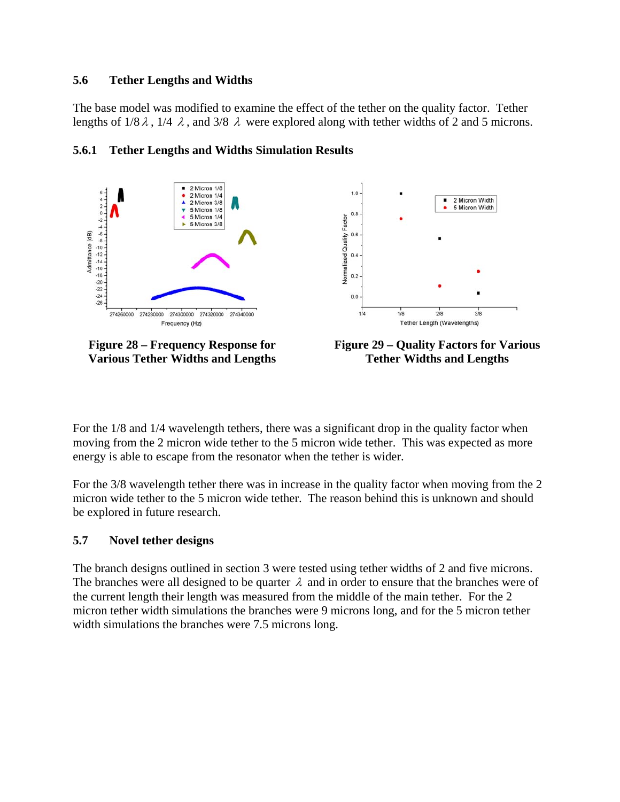### **5.6 Tether Lengths and Widths**

The base model was modified to examine the effect of the tether on the quality factor. Tether lengths of  $1/8 \lambda$ ,  $1/4 \lambda$ , and  $3/8 \lambda$  were explored along with tether widths of 2 and 5 microns.



### **5.6.1 Tether Lengths and Widths Simulation Results**





For the 1/8 and 1/4 wavelength tethers, there was a significant drop in the quality factor when moving from the 2 micron wide tether to the 5 micron wide tether. This was expected as more energy is able to escape from the resonator when the tether is wider.

For the 3/8 wavelength tether there was in increase in the quality factor when moving from the 2 micron wide tether to the 5 micron wide tether. The reason behind this is unknown and should be explored in future research.

## **5.7 Novel tether designs**

The branch designs outlined in section 3 were tested using tether widths of 2 and five microns. The branches were all designed to be quarter  $\lambda$  and in order to ensure that the branches were of the current length their length was measured from the middle of the main tether. For the 2 micron tether width simulations the branches were 9 microns long, and for the 5 micron tether width simulations the branches were 7.5 microns long.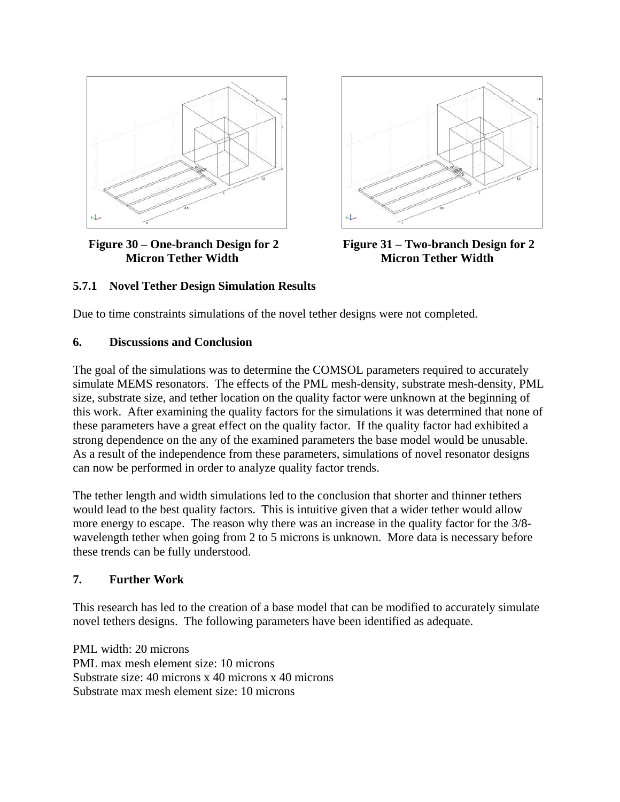

 **Figure 30 – One-branch Design for 2 Micron Tether Width**



 **Figure 31 – Two-branch Design for 2 Micron Tether Width**

# **5.7.1 Novel Tether Design Simulation Results**

Due to time constraints simulations of the novel tether designs were not completed.

### **6. Discussions and Conclusion**

The goal of the simulations was to determine the COMSOL parameters required to accurately simulate MEMS resonators. The effects of the PML mesh-density, substrate mesh-density, PML size, substrate size, and tether location on the quality factor were unknown at the beginning of this work. After examining the quality factors for the simulations it was determined that none of these parameters have a great effect on the quality factor. If the quality factor had exhibited a strong dependence on the any of the examined parameters the base model would be unusable. As a result of the independence from these parameters, simulations of novel resonator designs can now be performed in order to analyze quality factor trends.

The tether length and width simulations led to the conclusion that shorter and thinner tethers would lead to the best quality factors. This is intuitive given that a wider tether would allow more energy to escape. The reason why there was an increase in the quality factor for the 3/8 wavelength tether when going from 2 to 5 microns is unknown. More data is necessary before these trends can be fully understood.

## **7. Further Work**

This research has led to the creation of a base model that can be modified to accurately simulate novel tethers designs. The following parameters have been identified as adequate.

PML width: 20 microns PML max mesh element size: 10 microns Substrate size: 40 microns x 40 microns x 40 microns Substrate max mesh element size: 10 microns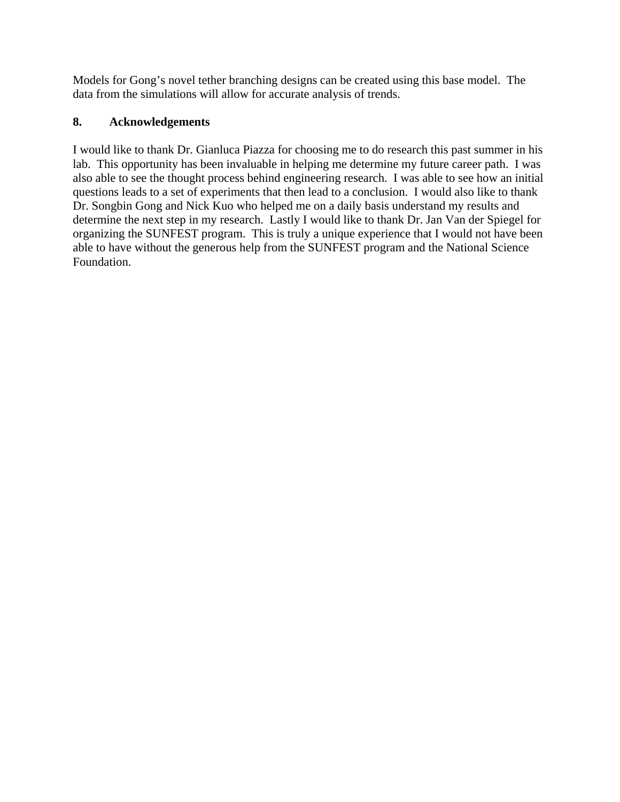Models for Gong's novel tether branching designs can be created using this base model. The data from the simulations will allow for accurate analysis of trends.

# **8. Acknowledgements**

I would like to thank Dr. Gianluca Piazza for choosing me to do research this past summer in his lab. This opportunity has been invaluable in helping me determine my future career path. I was also able to see the thought process behind engineering research. I was able to see how an initial questions leads to a set of experiments that then lead to a conclusion. I would also like to thank Dr. Songbin Gong and Nick Kuo who helped me on a daily basis understand my results and determine the next step in my research. Lastly I would like to thank Dr. Jan Van der Spiegel for organizing the SUNFEST program. This is truly a unique experience that I would not have been able to have without the generous help from the SUNFEST program and the National Science Foundation.